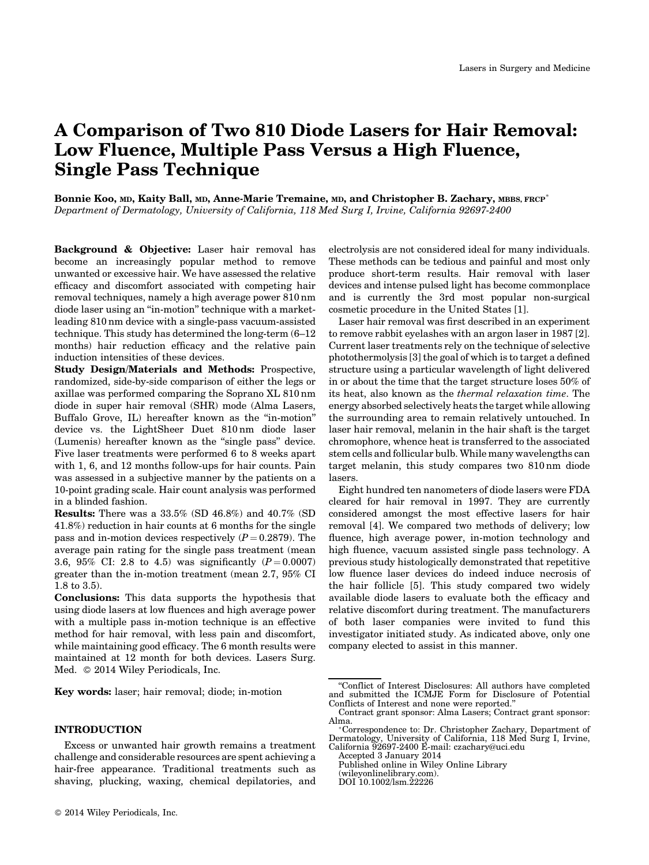# A Comparison of Two 810 Diode Lasers for Hair Removal: Low Fluence, Multiple Pass Versus a High Fluence, Single Pass Technique

Bonnie Koo, MD, Kaity Ball, MD, Anne-Marie Tremaine, MD, and Christopher B. Zachary, MBBS, FRCP<sup>\*</sup> Department of Dermatology, University of California, 118 Med Surg I, Irvine, California 92697-2400

Background & Objective: Laser hair removal has become an increasingly popular method to remove unwanted or excessive hair. We have assessed the relative efficacy and discomfort associated with competing hair removal techniques, namely a high average power 810 nm diode laser using an "in-motion" technique with a marketleading 810 nm device with a single-pass vacuum-assisted technique. This study has determined the long-term (6–12 months) hair reduction efficacy and the relative pain induction intensities of these devices.

Study Design/Materials and Methods: Prospective, randomized, side-by-side comparison of either the legs or axillae was performed comparing the Soprano XL 810 nm diode in super hair removal (SHR) mode (Alma Lasers, Buffalo Grove, IL) hereafter known as the "in-motion" device vs. the LightSheer Duet 810 nm diode laser (Lumenis) hereafter known as the "single pass" device. Five laser treatments were performed 6 to 8 weeks apart with 1, 6, and 12 months follow-ups for hair counts. Pain was assessed in a subjective manner by the patients on a 10-point grading scale. Hair count analysis was performed in a blinded fashion.

Results: There was a 33.5% (SD 46.8%) and 40.7% (SD 41.8%) reduction in hair counts at 6 months for the single pass and in-motion devices respectively  $(P = 0.2879)$ . The average pain rating for the single pass treatment (mean 3.6, 95% CI: 2.8 to 4.5) was significantly  $(P = 0.0007)$ greater than the in-motion treatment (mean 2.7, 95% CI 1.8 to 3.5).

Conclusions: This data supports the hypothesis that using diode lasers at low fluences and high average power with a multiple pass in-motion technique is an effective method for hair removal, with less pain and discomfort, while maintaining good efficacy. The 6 month results were maintained at 12 month for both devices. Lasers Surg. Med.  $@$  2014 Wiley Periodicals, Inc.

Key words: laser; hair removal; diode; in-motion

# INTRODUCTION

Excess or unwanted hair growth remains a treatment challenge and considerable resources are spent achieving a hair-free appearance. Traditional treatments such as shaving, plucking, waxing, chemical depilatories, and electrolysis are not considered ideal for many individuals. These methods can be tedious and painful and most only produce short-term results. Hair removal with laser devices and intense pulsed light has become commonplace and is currently the 3rd most popular non-surgical cosmetic procedure in the United States [1].

Laser hair removal was first described in an experiment to remove rabbit eyelashes with an argon laser in 1987 [2]. Current laser treatments rely on the technique of selective photothermolysis [3] the goal of which is to target a defined structure using a particular wavelength of light delivered in or about the time that the target structure loses 50% of its heat, also known as the thermal relaxation time. The energy absorbed selectively heats the target while allowing the surrounding area to remain relatively untouched. In laser hair removal, melanin in the hair shaft is the target chromophore, whence heat is transferred to the associated stem cells and follicular bulb. While many wavelengths can target melanin, this study compares two 810 nm diode lasers.

Eight hundred ten nanometers of diode lasers were FDA cleared for hair removal in 1997. They are currently considered amongst the most effective lasers for hair removal [4]. We compared two methods of delivery; low fluence, high average power, in-motion technology and high fluence, vacuum assisted single pass technology. A previous study histologically demonstrated that repetitive low fluence laser devices do indeed induce necrosis of the hair follicle [5]. This study compared two widely available diode lasers to evaluate both the efficacy and relative discomfort during treatment. The manufacturers of both laser companies were invited to fund this investigator initiated study. As indicated above, only one company elected to assist in this manner.

<sup>&</sup>quot;Conflict of Interest Disclosures: All authors have completed and submitted the ICMJE Form for Disclosure of Potential Conflicts of Interest and none were reported."

Contract grant sponsor: Alma Lasers; Contract grant sponsor: Alma.

Correspondence to: Dr. Christopher Zachary, Department of Dermatology, University of California, 118 Med Surg I, Irvine, California 92697-2400 E-mail: czachary@uci.edu

Accepted 3 January 2014

Published online in Wiley Online Library

<sup>(</sup>wileyonlinelibrary.com). DOI 10.1002/lsm.22226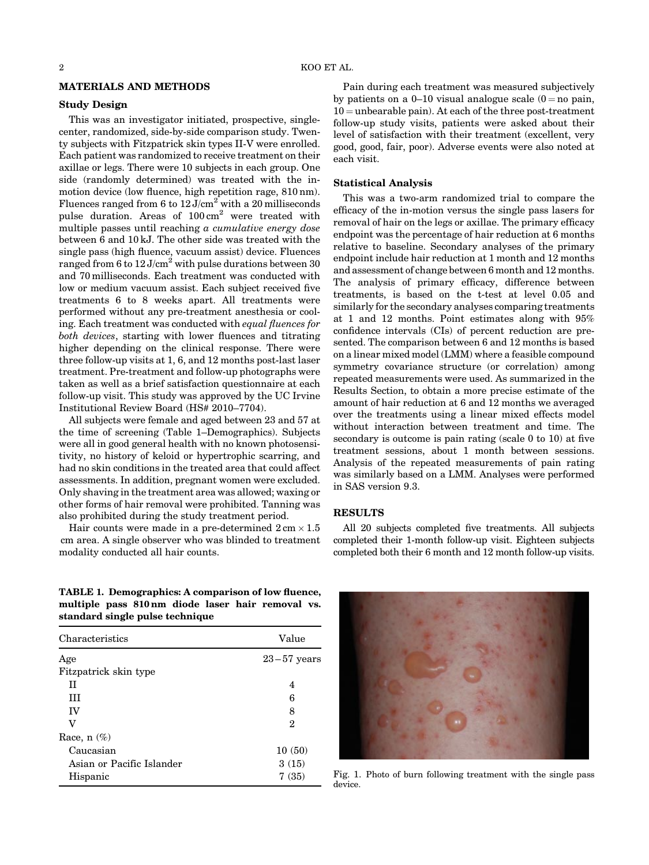#### MATERIALS AND METHODS

# Study Design

This was an investigator initiated, prospective, singlecenter, randomized, side-by-side comparison study. Twenty subjects with Fitzpatrick skin types II-V were enrolled. Each patient was randomized to receive treatment on their axillae or legs. There were 10 subjects in each group. One side (randomly determined) was treated with the inmotion device (low fluence, high repetition rage, 810 nm). Fluences ranged from 6 to  $12 \text{ J/cm}^2$  with a 20 milliseconds pulse duration. Areas of  $100 \text{ cm}^2$  were treated with multiple passes until reaching a cumulative energy dose between 6 and 10 kJ. The other side was treated with the single pass (high fluence, vacuum assist) device. Fluences ranged from 6 to  $12 \text{ J/cm}^2$  with pulse durations between 30 and 70 milliseconds. Each treatment was conducted with low or medium vacuum assist. Each subject received five treatments 6 to 8 weeks apart. All treatments were performed without any pre-treatment anesthesia or cooling. Each treatment was conducted with equal fluences for both devices, starting with lower fluences and titrating higher depending on the clinical response. There were three follow-up visits at 1, 6, and 12 months post-last laser treatment. Pre-treatment and follow-up photographs were taken as well as a brief satisfaction questionnaire at each follow-up visit. This study was approved by the UC Irvine Institutional Review Board (HS# 2010–7704).

All subjects were female and aged between 23 and 57 at the time of screening (Table 1–Demographics). Subjects were all in good general health with no known photosensitivity, no history of keloid or hypertrophic scarring, and had no skin conditions in the treated area that could affect assessments. In addition, pregnant women were excluded. Only shaving in the treatment area was allowed; waxing or other forms of hair removal were prohibited. Tanning was also prohibited during the study treatment period.

Hair counts were made in a pre-determined  $2 \text{ cm} \times 1.5$ cm area. A single observer who was blinded to treatment modality conducted all hair counts.

TABLE 1. Demographics: A comparison of low fluence, multiple pass 810 nm diode laser hair removal vs. standard single pulse technique

| Characteristics           | Value         |
|---------------------------|---------------|
| Age                       | $23-57$ years |
| Fitzpatrick skin type     |               |
| H                         | 4             |
| Ш                         | 6             |
| IV                        | 8             |
| v                         | 2             |
| Race, $n$ $(\%)$          |               |
| Caucasian                 | 10(50)        |
| Asian or Pacific Islander | 3(15)         |
| Hispanic                  | 7(35)         |

# follow-up study visits, patients were asked about their level of satisfaction with their treatment (excellent, very good, good, fair, poor). Adverse events were also noted at each visit.

#### Statistical Analysis

This was a two-arm randomized trial to compare the efficacy of the in-motion versus the single pass lasers for removal of hair on the legs or axillae. The primary efficacy endpoint was the percentage of hair reduction at 6 months relative to baseline. Secondary analyses of the primary endpoint include hair reduction at 1 month and 12 months and assessment of change between 6 month and 12 months. The analysis of primary efficacy, difference between treatments, is based on the t-test at level 0.05 and similarly for the secondary analyses comparing treatments at 1 and 12 months. Point estimates along with 95% confidence intervals (CIs) of percent reduction are presented. The comparison between 6 and 12 months is based on a linear mixed model (LMM) where a feasible compound symmetry covariance structure (or correlation) among repeated measurements were used. As summarized in the Results Section, to obtain a more precise estimate of the amount of hair reduction at 6 and 12 months we averaged over the treatments using a linear mixed effects model without interaction between treatment and time. The secondary is outcome is pain rating (scale 0 to 10) at five treatment sessions, about 1 month between sessions. Analysis of the repeated measurements of pain rating was similarly based on a LMM. Analyses were performed in SAS version 9.3.

#### RESULTS

All 20 subjects completed five treatments. All subjects completed their 1-month follow-up visit. Eighteen subjects completed both their 6 month and 12 month follow-up visits.



Fig. 1. Photo of burn following treatment with the single pass device.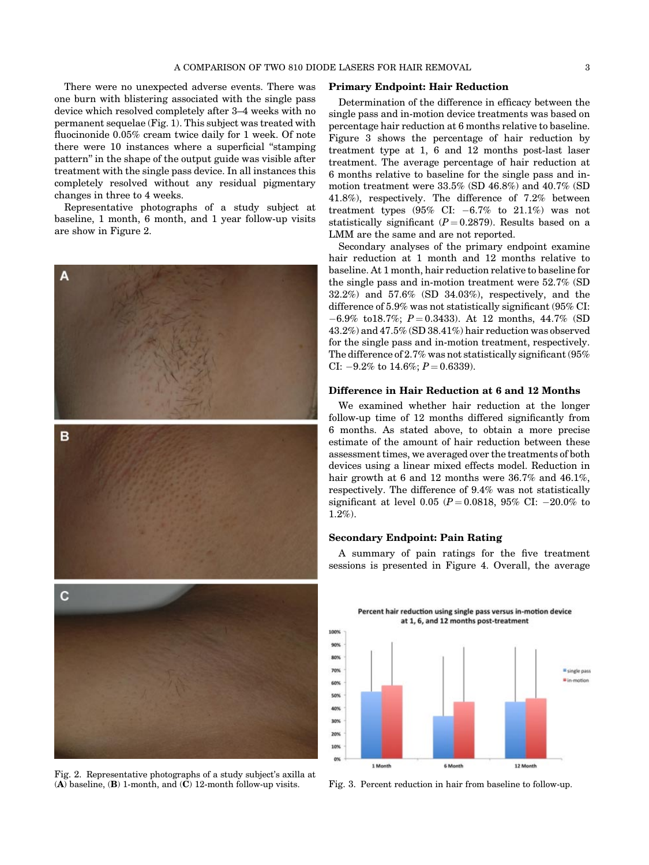There were no unexpected adverse events. There was one burn with blistering associated with the single pass device which resolved completely after 3–4 weeks with no permanent sequelae (Fig. 1). This subject was treated with fluocinonide 0.05% cream twice daily for 1 week. Of note there were 10 instances where a superficial "stamping pattern" in the shape of the output guide was visible after treatment with the single pass device. In all instances this completely resolved without any residual pigmentary changes in three to 4 weeks.

Representative photographs of a study subject at baseline, 1 month, 6 month, and 1 year follow-up visits are show in Figure 2.



Fig. 2. Representative photographs of a study subject's axilla at (A) baseline, (B) 1-month, and (C) 12-month follow-up visits. Fig. 3. Percent reduction in hair from baseline to follow-up.

#### Primary Endpoint: Hair Reduction

Determination of the difference in efficacy between the single pass and in-motion device treatments was based on percentage hair reduction at 6 months relative to baseline. Figure 3 shows the percentage of hair reduction by treatment type at 1, 6 and 12 months post-last laser treatment. The average percentage of hair reduction at 6 months relative to baseline for the single pass and inmotion treatment were 33.5% (SD 46.8%) and 40.7% (SD 41.8%), respectively. The difference of 7.2% between treatment types  $(95\% \text{ CI: } -6.7\% \text{ to } 21.1\%)$  was not statistically significant  $(P=0.2879)$ . Results based on a LMM are the same and are not reported.

Secondary analyses of the primary endpoint examine hair reduction at 1 month and 12 months relative to baseline. At 1 month, hair reduction relative to baseline for the single pass and in-motion treatment were 52.7% (SD 32.2%) and 57.6% (SD 34.03%), respectively, and the difference of 5.9% was not statistically significant (95% CI:  $-6.9\%$  to18.7%;  $P = 0.3433$ . At 12 months, 44.7% (SD 43.2%) and 47.5% (SD 38.41%) hair reduction was observed for the single pass and in-motion treatment, respectively. The difference of 2.7% was not statistically significant (95% CI:  $-9.2\%$  to 14.6%;  $P = 0.6339$ ).

# Difference in Hair Reduction at 6 and 12 Months

We examined whether hair reduction at the longer follow-up time of 12 months differed significantly from 6 months. As stated above, to obtain a more precise estimate of the amount of hair reduction between these assessment times, we averaged over the treatments of both devices using a linear mixed effects model. Reduction in hair growth at 6 and 12 months were 36.7% and 46.1%, respectively. The difference of 9.4% was not statistically significant at level 0.05 ( $P = 0.0818$ , 95% CI:  $-20.0\%$  to 1.2%).

#### Secondary Endpoint: Pain Rating

A summary of pain ratings for the five treatment sessions is presented in Figure 4. Overall, the average

Percent hair reduction using single pass versus in-motion device at 1, 6, and 12 months post-treatment

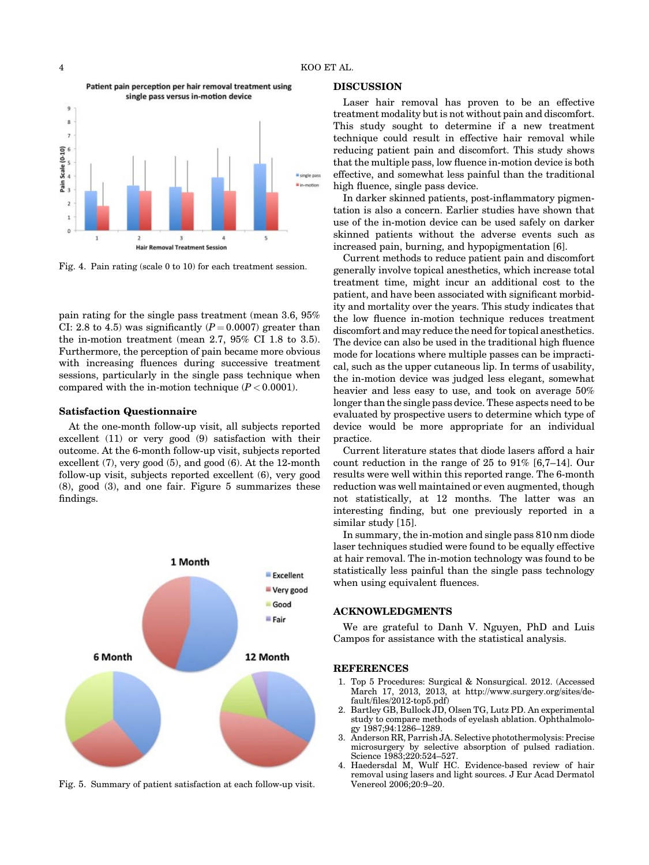

Fig. 4. Pain rating (scale 0 to 10) for each treatment session.

pain rating for the single pass treatment (mean 3.6, 95% CI: 2.8 to 4.5) was significantly  $(P = 0.0007)$  greater than the in-motion treatment (mean 2.7, 95% CI 1.8 to 3.5). Furthermore, the perception of pain became more obvious with increasing fluences during successive treatment sessions, particularly in the single pass technique when compared with the in-motion technique  $(P < 0.0001)$ .

#### Satisfaction Questionnaire

At the one-month follow-up visit, all subjects reported excellent (11) or very good (9) satisfaction with their outcome. At the 6-month follow-up visit, subjects reported excellent (7), very good (5), and good (6). At the 12-month follow-up visit, subjects reported excellent (6), very good (8), good (3), and one fair. Figure 5 summarizes these findings.



Fig. 5. Summary of patient satisfaction at each follow-up visit.

#### DISCUSSION

Laser hair removal has proven to be an effective treatment modality but is not without pain and discomfort. This study sought to determine if a new treatment technique could result in effective hair removal while reducing patient pain and discomfort. This study shows that the multiple pass, low fluence in-motion device is both effective, and somewhat less painful than the traditional high fluence, single pass device.

In darker skinned patients, post-inflammatory pigmentation is also a concern. Earlier studies have shown that use of the in-motion device can be used safely on darker skinned patients without the adverse events such as increased pain, burning, and hypopigmentation [6].

Current methods to reduce patient pain and discomfort generally involve topical anesthetics, which increase total treatment time, might incur an additional cost to the patient, and have been associated with significant morbidity and mortality over the years. This study indicates that the low fluence in-motion technique reduces treatment discomfort and may reduce the need for topical anesthetics. The device can also be used in the traditional high fluence mode for locations where multiple passes can be impractical, such as the upper cutaneous lip. In terms of usability, the in-motion device was judged less elegant, somewhat heavier and less easy to use, and took on average 50% longer than the single pass device. These aspects need to be evaluated by prospective users to determine which type of device would be more appropriate for an individual practice.

Current literature states that diode lasers afford a hair count reduction in the range of 25 to 91% [6,7–14]. Our results were well within this reported range. The 6-month reduction was well maintained or even augmented, though not statistically, at 12 months. The latter was an interesting finding, but one previously reported in a similar study [15].

In summary, the in-motion and single pass 810 nm diode laser techniques studied were found to be equally effective at hair removal. The in-motion technology was found to be statistically less painful than the single pass technology when using equivalent fluences.

# ACKNOWLEDGMENTS

We are grateful to Danh V. Nguyen, PhD and Luis Campos for assistance with the statistical analysis.

#### REFERENCES

- 1. Top 5 Procedures: Surgical & Nonsurgical. 2012. (Accessed March 17, 2013, 2013, at [http://www.surgery.org/sites/de](http://www.surgery.org/sites/default/files/2012-top5.pdf))[fault/files/2012-top5.pdf\)](http://www.surgery.org/sites/default/files/2012-top5.pdf))
- 2. Bartley GB, Bullock JD, Olsen TG, Lutz PD. An experimental study to compare methods of eyelash ablation. Ophthalmology 1987;94:1286–1289.
- 3. Anderson RR, Parrish JA. Selective photothermolysis: Precise microsurgery by selective absorption of pulsed radiation. Science 1983:220:524-527
- 4. Haedersdal M, Wulf HC. Evidence-based review of hair removal using lasers and light sources. J Eur Acad Dermatol Venereol 2006;20:9–20.